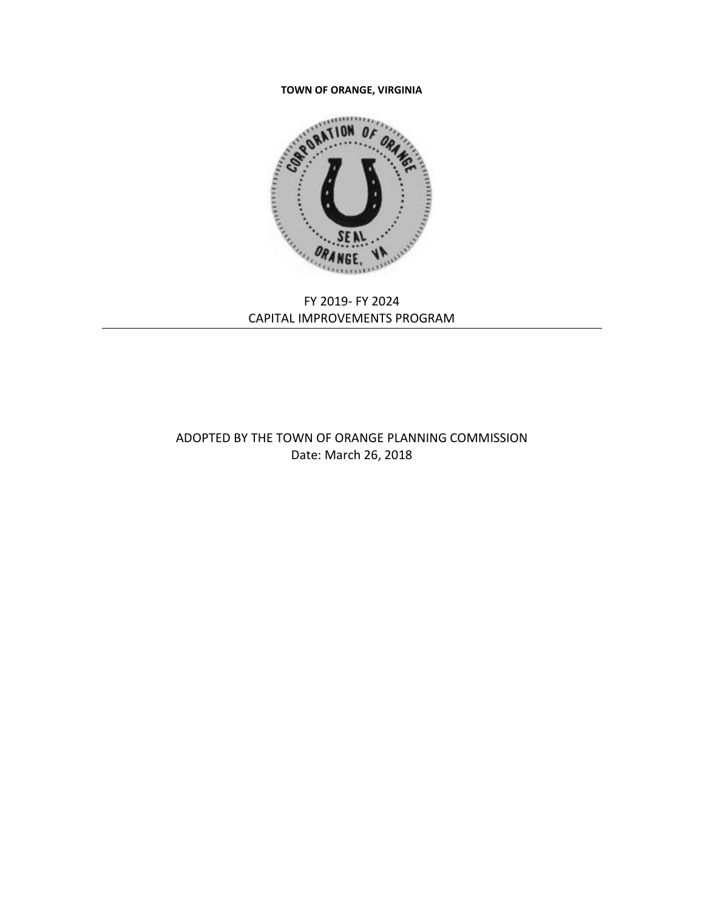#### **TOWN OF ORANGE, VIRGINIA**



# FY 2019- FY 2024 CAPITAL IMPROVEMENTS PROGRAM

# ADOPTED BY THE TOWN OF ORANGE PLANNING COMMISSION Date: March 26, 2018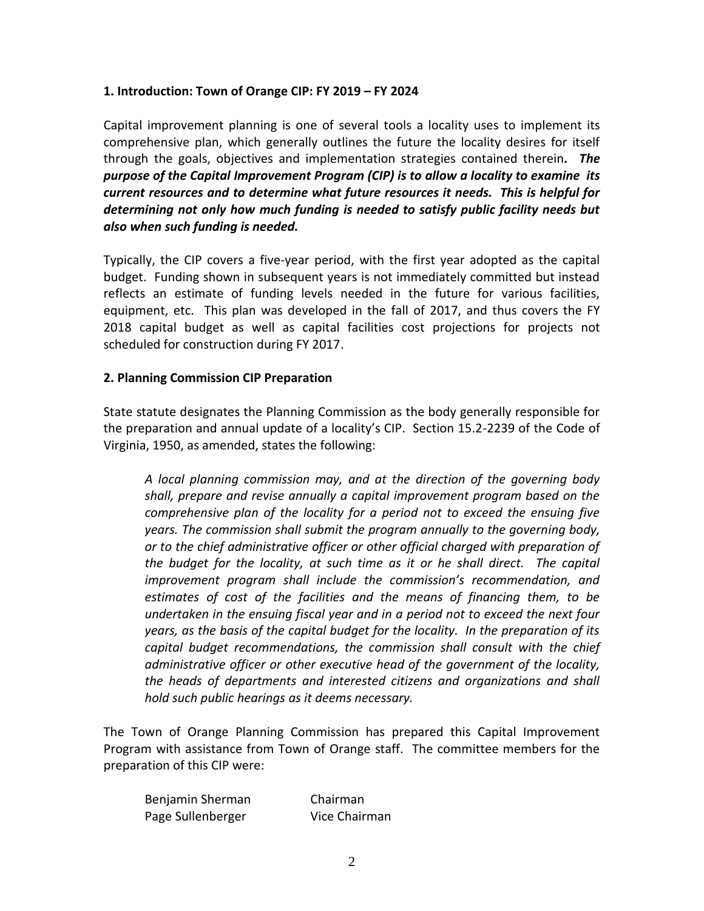### **1. Introduction: Town of Orange CIP: FY 2019 – FY 2024**

Capital improvement planning is one of several tools a locality uses to implement its comprehensive plan, which generally outlines the future the locality desires for itself through the goals, objectives and implementation strategies contained therein*. The purpose of the Capital Improvement Program (CIP) is to allow a locality to examine its current resources and to determine what future resources it needs. This is helpful for determining not only how much funding is needed to satisfy public facility needs but also when such funding is needed.* 

Typically, the CIP covers a five-year period, with the first year adopted as the capital budget. Funding shown in subsequent years is not immediately committed but instead reflects an estimate of funding levels needed in the future for various facilities, equipment, etc. This plan was developed in the fall of 2017, and thus covers the FY 2018 capital budget as well as capital facilities cost projections for projects not scheduled for construction during FY 2017.

### **2. Planning Commission CIP Preparation**

State statute designates the Planning Commission as the body generally responsible for the preparation and annual update of a locality's CIP. Section 15.2-2239 of the Code of Virginia, 1950, as amended, states the following:

*A local planning commission may, and at the direction of the governing body shall, prepare and revise annually a capital improvement program based on the comprehensive plan of the locality for a period not to exceed the ensuing five years. The commission shall submit the program annually to the governing body, or to the chief administrative officer or other official charged with preparation of the budget for the locality, at such time as it or he shall direct. The capital improvement program shall include the commission's recommendation, and estimates of cost of the facilities and the means of financing them, to be undertaken in the ensuing fiscal year and in a period not to exceed the next four years, as the basis of the capital budget for the locality. In the preparation of its capital budget recommendations, the commission shall consult with the chief administrative officer or other executive head of the government of the locality, the heads of departments and interested citizens and organizations and shall hold such public hearings as it deems necessary.*

The Town of Orange Planning Commission has prepared this Capital Improvement Program with assistance from Town of Orange staff. The committee members for the preparation of this CIP were:

| Benjamin Sherman  | Chairman      |
|-------------------|---------------|
| Page Sullenberger | Vice Chairman |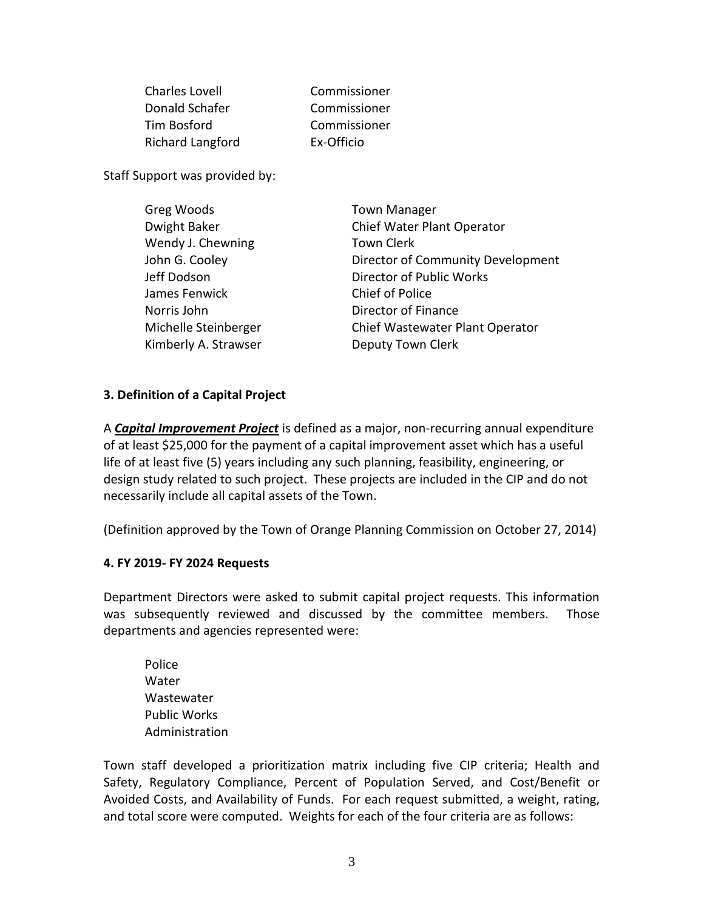Charles Lovell Commissioner Donald Schafer Commissioner Tim Bosford Commissioner Richard Langford Ex-Officio

Staff Support was provided by:

| <b>Town Manager</b>               |
|-----------------------------------|
| Chief Water Plant Operator        |
| <b>Town Clerk</b>                 |
| Director of Community Development |
| Director of Public Works          |
| Chief of Police                   |
| Director of Finance               |
| Chief Wastewater Plant Operator   |
| Deputy Town Clerk                 |
|                                   |

# **3. Definition of a Capital Project**

A *Capital Improvement Project* is defined as a major, non-recurring annual expenditure of at least \$25,000 for the payment of a capital improvement asset which has a useful life of at least five (5) years including any such planning, feasibility, engineering, or design study related to such project. These projects are included in the CIP and do not necessarily include all capital assets of the Town.

(Definition approved by the Town of Orange Planning Commission on October 27, 2014)

### **4. FY 2019- FY 2024 Requests**

Department Directors were asked to submit capital project requests. This information was subsequently reviewed and discussed by the committee members. Those departments and agencies represented were:

Police **Water Wastewater** Public Works Administration

Town staff developed a prioritization matrix including five CIP criteria; Health and Safety, Regulatory Compliance, Percent of Population Served, and Cost/Benefit or Avoided Costs, and Availability of Funds. For each request submitted, a weight, rating, and total score were computed. Weights for each of the four criteria are as follows: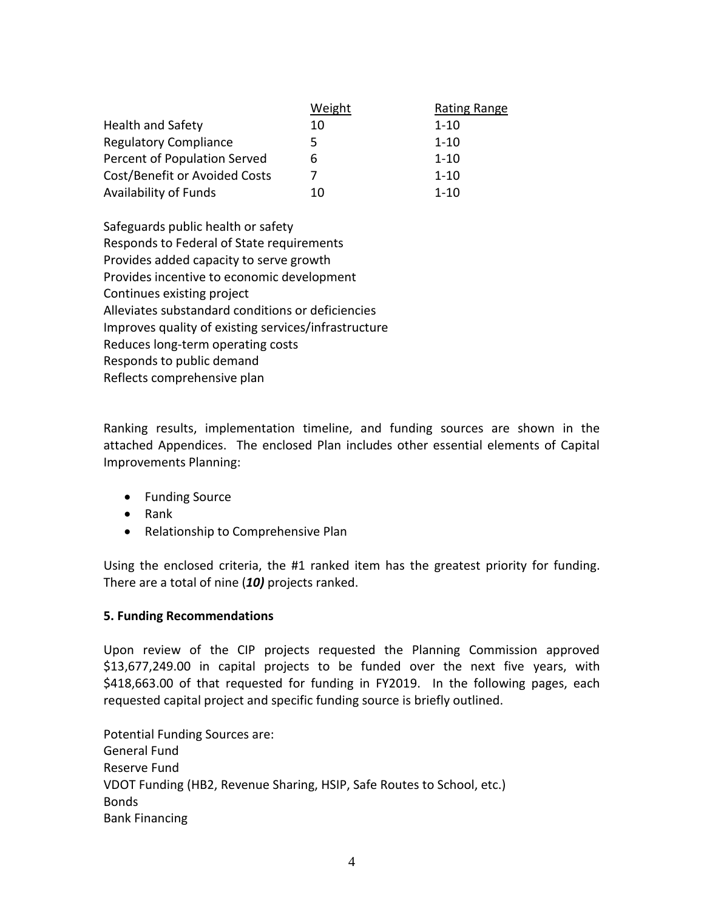|                               | Weight | Rating Range |
|-------------------------------|--------|--------------|
| <b>Health and Safety</b>      | 10     | $1 - 10$     |
| <b>Regulatory Compliance</b>  | 5      | $1 - 10$     |
| Percent of Population Served  | 6      | $1 - 10$     |
| Cost/Benefit or Avoided Costs |        | $1 - 10$     |
| <b>Availability of Funds</b>  | 10     | $1 - 10$     |

Safeguards public health or safety Responds to Federal of State requirements Provides added capacity to serve growth Provides incentive to economic development Continues existing project Alleviates substandard conditions or deficiencies Improves quality of existing services/infrastructure Reduces long-term operating costs Responds to public demand Reflects comprehensive plan

Ranking results, implementation timeline, and funding sources are shown in the attached Appendices. The enclosed Plan includes other essential elements of Capital Improvements Planning:

- Funding Source
- Rank
- Relationship to Comprehensive Plan

Using the enclosed criteria, the #1 ranked item has the greatest priority for funding. There are a total of nine (*10)* projects ranked.

# **5. Funding Recommendations**

Upon review of the CIP projects requested the Planning Commission approved \$13,677,249.00 in capital projects to be funded over the next five years, with \$418,663.00 of that requested for funding in FY2019. In the following pages, each requested capital project and specific funding source is briefly outlined.

Potential Funding Sources are: General Fund Reserve Fund VDOT Funding (HB2, Revenue Sharing, HSIP, Safe Routes to School, etc.) Bonds Bank Financing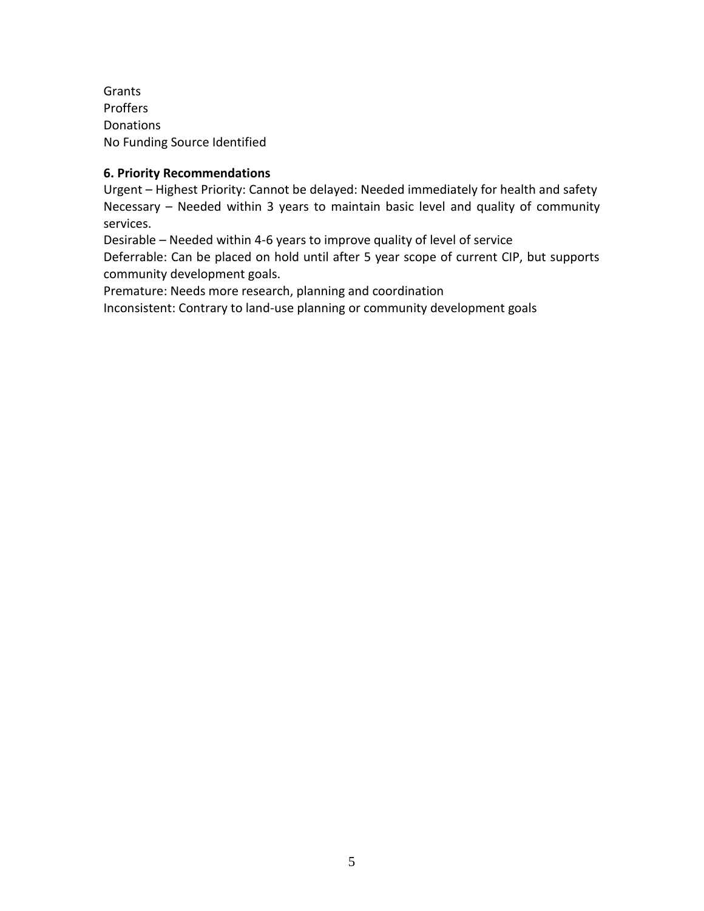Grants Proffers Donations No Funding Source Identified

# **6. Priority Recommendations**

Urgent – Highest Priority: Cannot be delayed: Needed immediately for health and safety Necessary – Needed within 3 years to maintain basic level and quality of community services.

Desirable – Needed within 4-6 years to improve quality of level of service Deferrable: Can be placed on hold until after 5 year scope of current CIP, but supports community development goals.

Premature: Needs more research, planning and coordination

Inconsistent: Contrary to land-use planning or community development goals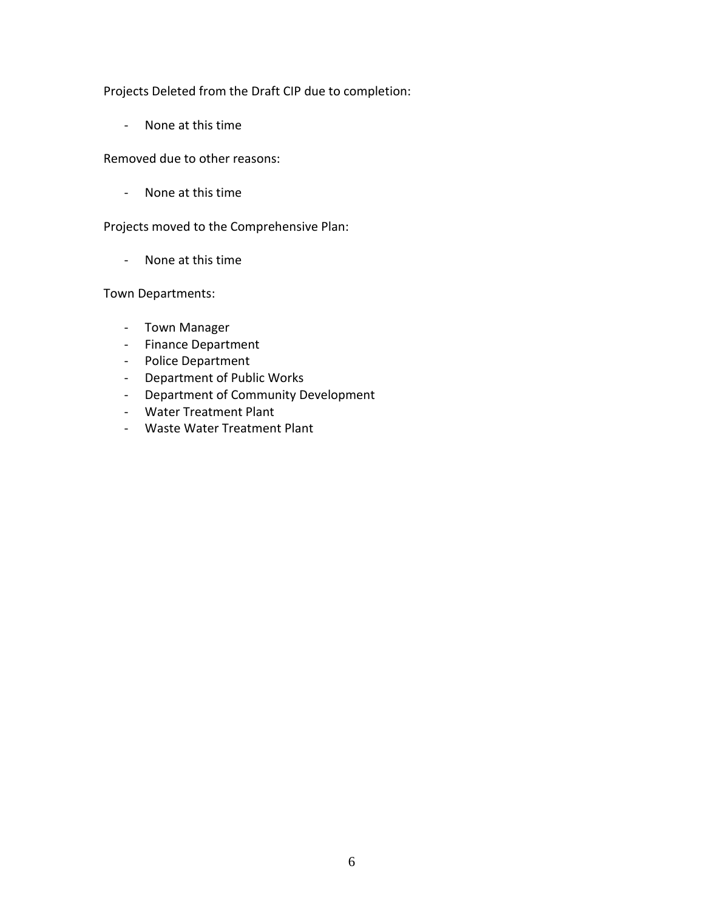Projects Deleted from the Draft CIP due to completion:

- None at this time

Removed due to other reasons:

- None at this time

Projects moved to the Comprehensive Plan:

- None at this time

Town Departments:

- Town Manager
- Finance Department
- Police Department
- Department of Public Works
- Department of Community Development
- Water Treatment Plant
- Waste Water Treatment Plant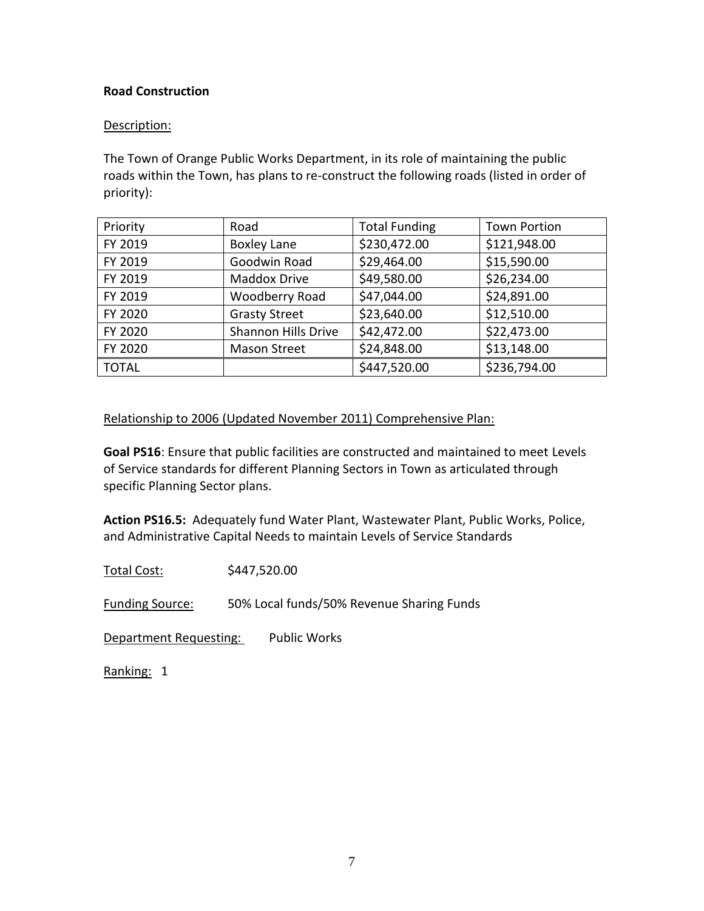# **Road Construction**

## Description:

The Town of Orange Public Works Department, in its role of maintaining the public roads within the Town, has plans to re-construct the following roads (listed in order of priority):

| Priority     | Road                 | <b>Total Funding</b> | <b>Town Portion</b> |
|--------------|----------------------|----------------------|---------------------|
| FY 2019      | <b>Boxley Lane</b>   | \$230,472.00         | \$121,948.00        |
| FY 2019      | Goodwin Road         | \$29,464.00          | \$15,590.00         |
| FY 2019      | Maddox Drive         | \$49,580.00          | \$26,234.00         |
| FY 2019      | Woodberry Road       | \$47,044.00          | \$24,891.00         |
| FY 2020      | <b>Grasty Street</b> | \$23,640.00          | \$12,510.00         |
| FY 2020      | Shannon Hills Drive  | \$42,472.00          | \$22,473.00         |
| FY 2020      | <b>Mason Street</b>  | \$24,848.00          | \$13,148.00         |
| <b>TOTAL</b> |                      | \$447,520.00         | \$236,794.00        |

# Relationship to 2006 (Updated November 2011) Comprehensive Plan:

**Goal PS16**: Ensure that public facilities are constructed and maintained to meet Levels of Service standards for different Planning Sectors in Town as articulated through specific Planning Sector plans.

**Action PS16.5:** Adequately fund Water Plant, Wastewater Plant, Public Works, Police, and Administrative Capital Needs to maintain Levels of Service Standards

Total Cost: \$447,520.00

Funding Source: 50% Local funds/50% Revenue Sharing Funds

Department Requesting: Public Works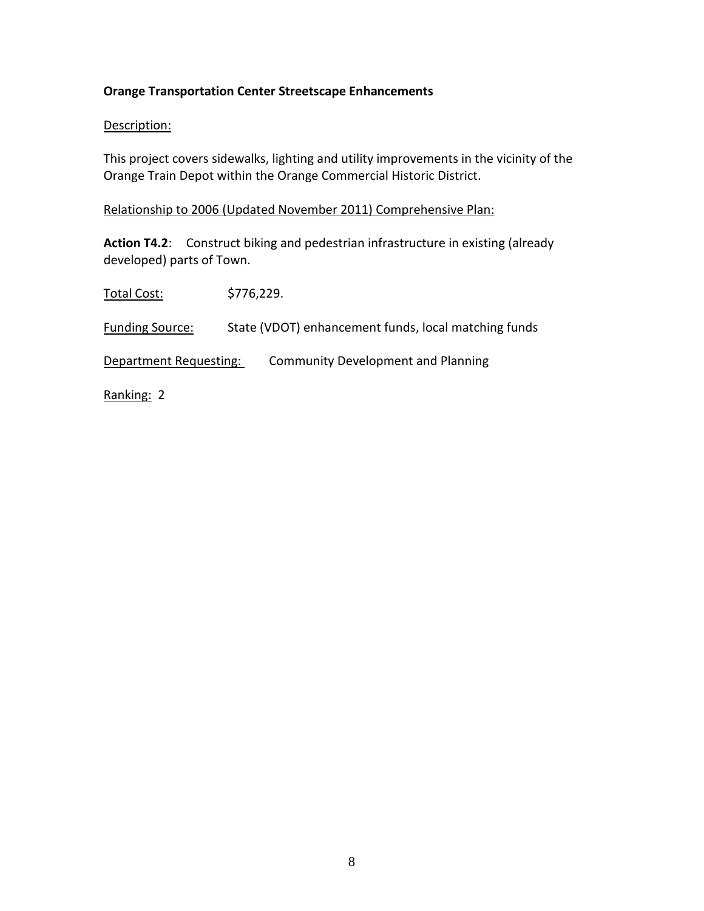# **Orange Transportation Center Streetscape Enhancements**

### Description:

This project covers sidewalks, lighting and utility improvements in the vicinity of the Orange Train Depot within the Orange Commercial Historic District.

### Relationship to 2006 (Updated November 2011) Comprehensive Plan:

**Action T4.2**: Construct biking and pedestrian infrastructure in existing (already developed) parts of Town.

Total Cost: \$776,229. Funding Source: State (VDOT) enhancement funds, local matching funds Department Requesting: Community Development and Planning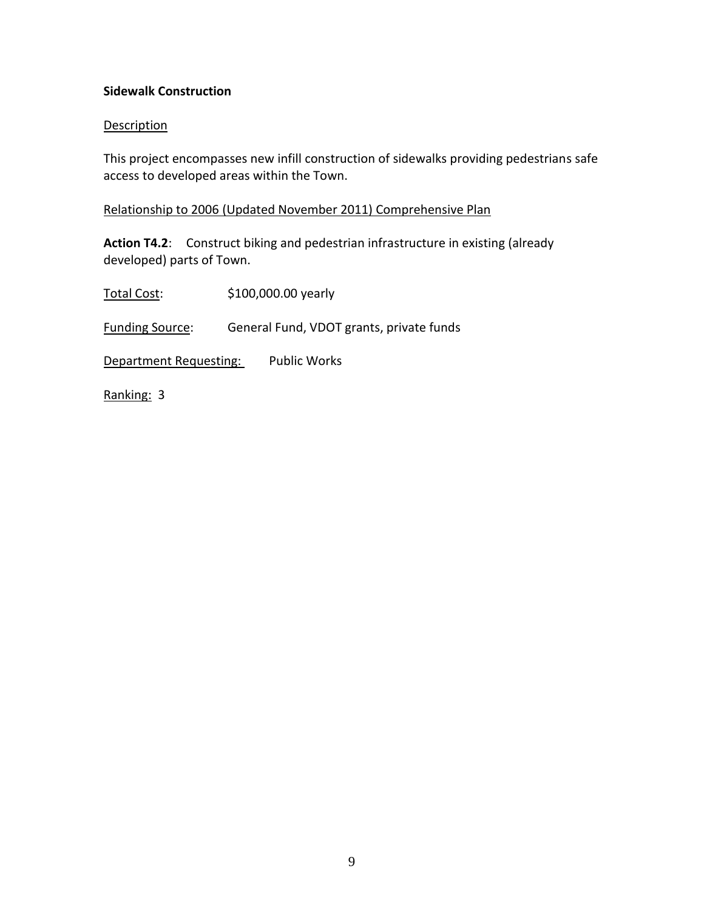# **Sidewalk Construction**

### **Description**

This project encompasses new infill construction of sidewalks providing pedestrians safe access to developed areas within the Town.

### Relationship to 2006 (Updated November 2011) Comprehensive Plan

**Action T4.2**: Construct biking and pedestrian infrastructure in existing (already developed) parts of Town.

Total Cost: \$100,000.00 yearly Funding Source: General Fund, VDOT grants, private funds Department Requesting: Public Works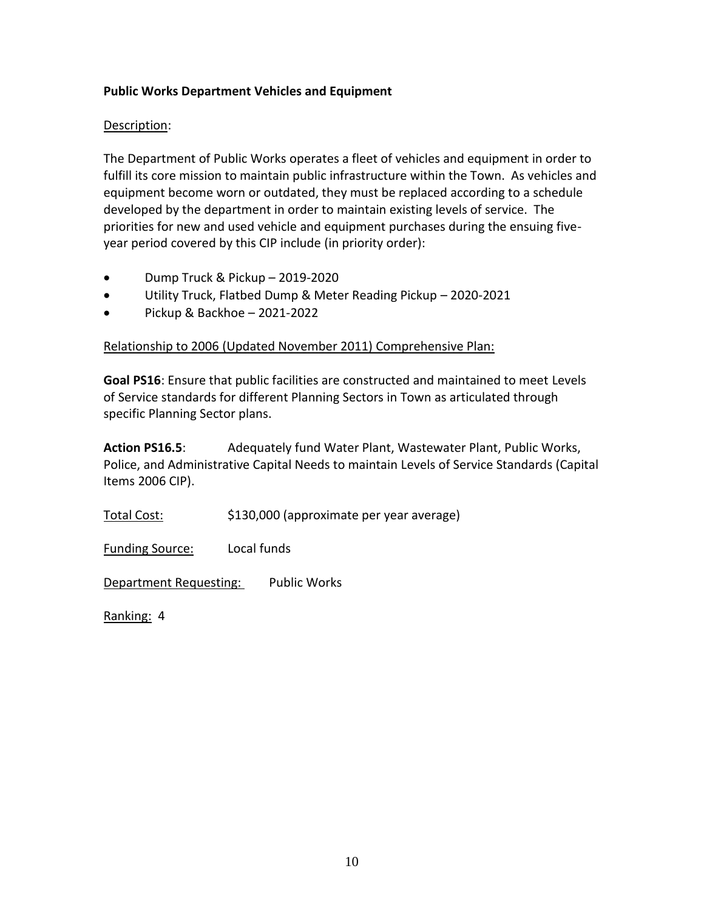# **Public Works Department Vehicles and Equipment**

# Description:

The Department of Public Works operates a fleet of vehicles and equipment in order to fulfill its core mission to maintain public infrastructure within the Town. As vehicles and equipment become worn or outdated, they must be replaced according to a schedule developed by the department in order to maintain existing levels of service. The priorities for new and used vehicle and equipment purchases during the ensuing fiveyear period covered by this CIP include (in priority order):

- Dump Truck & Pickup 2019-2020
- Utility Truck, Flatbed Dump & Meter Reading Pickup 2020-2021
- Pickup & Backhoe 2021-2022

# Relationship to 2006 (Updated November 2011) Comprehensive Plan:

**Goal PS16**: Ensure that public facilities are constructed and maintained to meet Levels of Service standards for different Planning Sectors in Town as articulated through specific Planning Sector plans.

**Action PS16.5**:Adequately fund Water Plant, Wastewater Plant, Public Works, Police, and Administrative Capital Needs to maintain Levels of Service Standards (Capital Items 2006 CIP).

Total Cost: \$130,000 (approximate per year average)

Funding Source: Local funds

Department Requesting: Public Works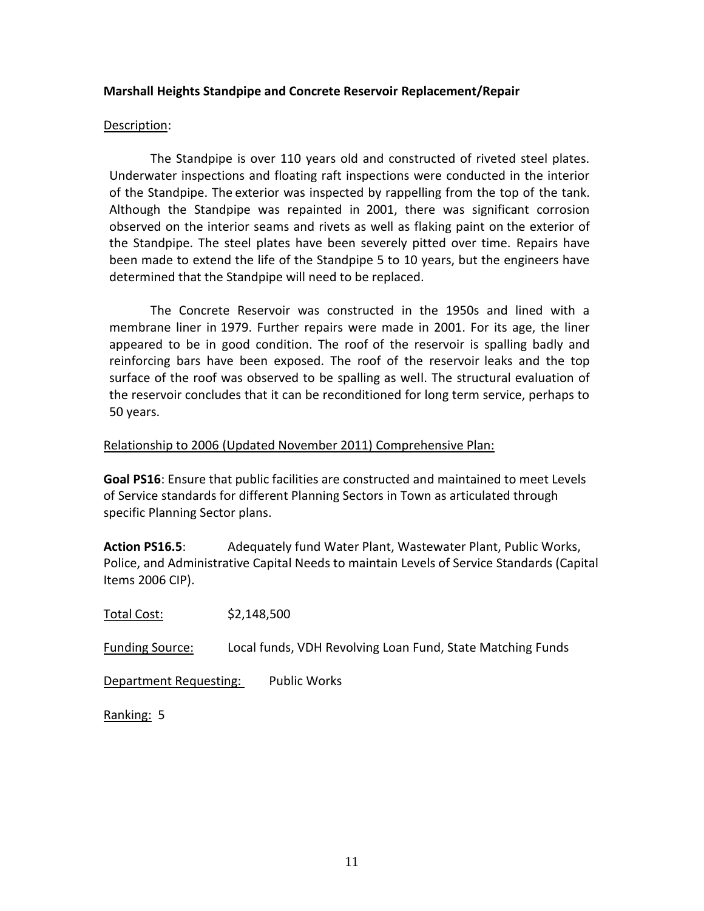### **Marshall Heights Standpipe and Concrete Reservoir Replacement/Repair**

#### Description:

The Standpipe is over 110 years old and constructed of riveted steel plates. Underwater inspections and floating raft inspections were conducted in the interior of the Standpipe. The exterior was inspected by rappelling from the top of the tank. Although the Standpipe was repainted in 2001, there was significant corrosion observed on the interior seams and rivets as well as flaking paint on the exterior of the Standpipe. The steel plates have been severely pitted over time. Repairs have been made to extend the life of the Standpipe 5 to 10 years, but the engineers have determined that the Standpipe will need to be replaced.

The Concrete Reservoir was constructed in the 1950s and lined with a membrane liner in 1979. Further repairs were made in 2001. For its age, the liner appeared to be in good condition. The roof of the reservoir is spalling badly and reinforcing bars have been exposed. The roof of the reservoir leaks and the top surface of the roof was observed to be spalling as well. The structural evaluation of the reservoir concludes that it can be reconditioned for long term service, perhaps to 50 years.

#### Relationship to 2006 (Updated November 2011) Comprehensive Plan:

**Goal PS16**: Ensure that public facilities are constructed and maintained to meet Levels of Service standards for different Planning Sectors in Town as articulated through specific Planning Sector plans.

**Action PS16.5**:Adequately fund Water Plant, Wastewater Plant, Public Works, Police, and Administrative Capital Needs to maintain Levels of Service Standards (Capital Items 2006 CIP).

Total Cost: \$2,148,500

Funding Source: Local funds, VDH Revolving Loan Fund, State Matching Funds

Department Requesting: Public Works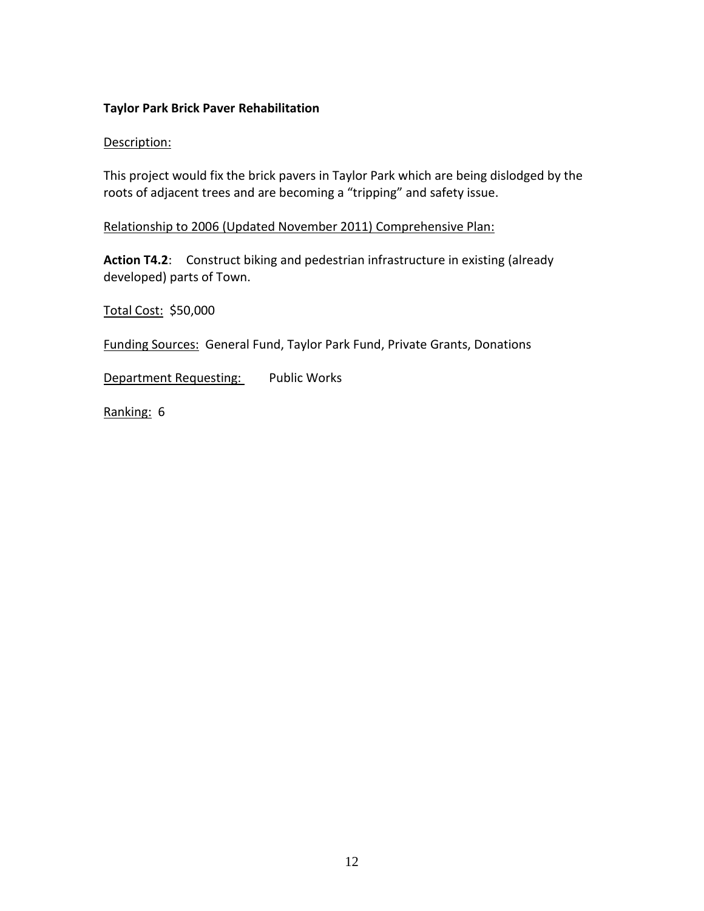## **Taylor Park Brick Paver Rehabilitation**

### Description:

This project would fix the brick pavers in Taylor Park which are being dislodged by the roots of adjacent trees and are becoming a "tripping" and safety issue.

Relationship to 2006 (Updated November 2011) Comprehensive Plan:

**Action T4.2**: Construct biking and pedestrian infrastructure in existing (already developed) parts of Town.

Total Cost: \$50,000

Funding Sources: General Fund, Taylor Park Fund, Private Grants, Donations

Department Requesting: Public Works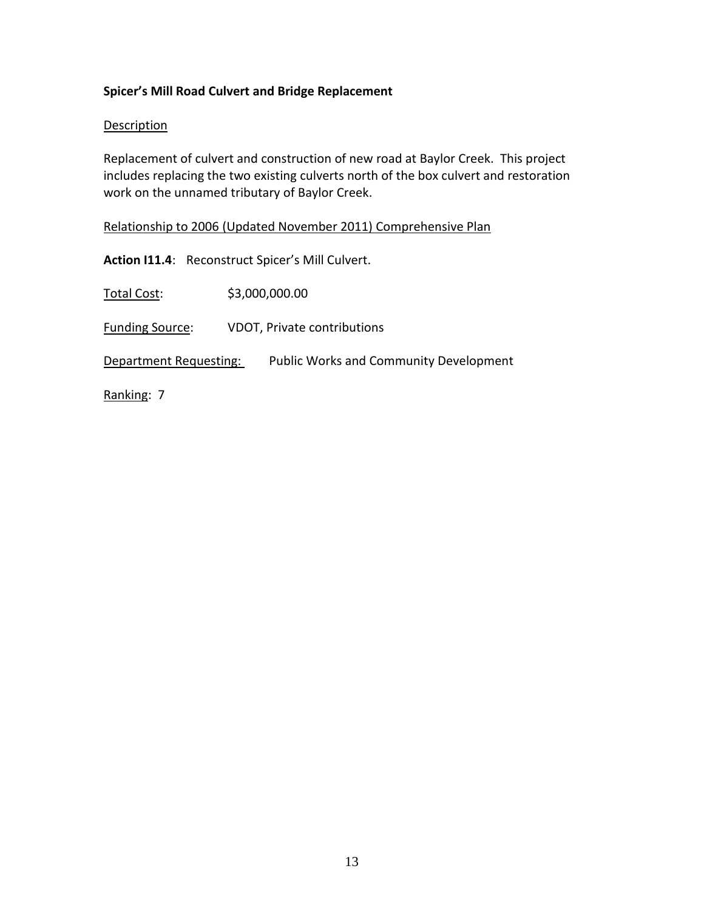# **Spicer's Mill Road Culvert and Bridge Replacement**

### **Description**

Replacement of culvert and construction of new road at Baylor Creek. This project includes replacing the two existing culverts north of the box culvert and restoration work on the unnamed tributary of Baylor Creek.

Relationship to 2006 (Updated November 2011) Comprehensive Plan

**Action I11.4**: Reconstruct Spicer's Mill Culvert.

Total Cost: \$3,000,000.00

Funding Source: VDOT, Private contributions

Department Requesting: Public Works and Community Development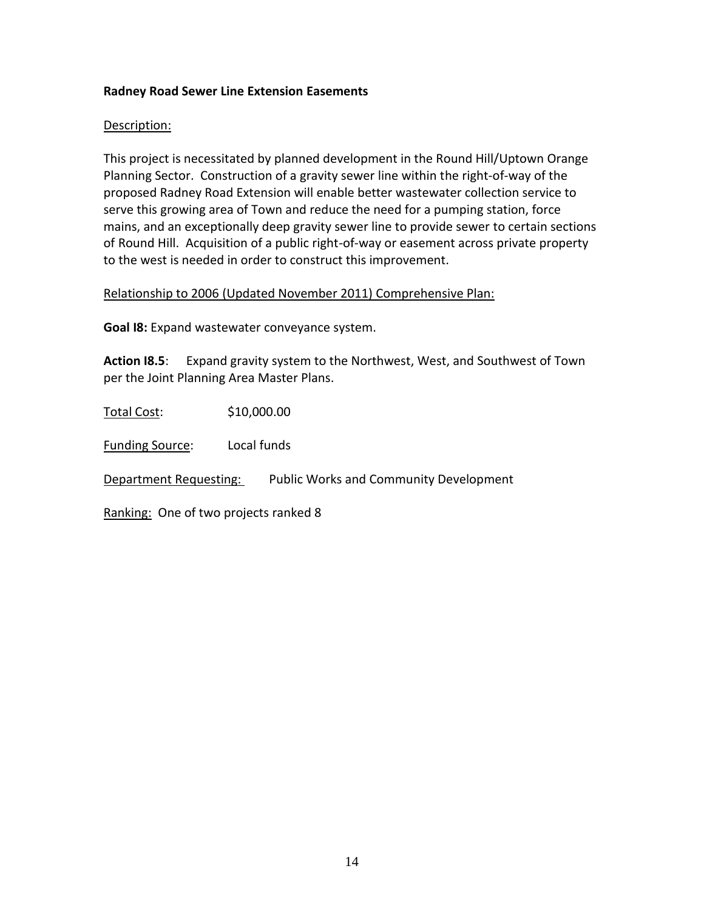## **Radney Road Sewer Line Extension Easements**

### Description:

This project is necessitated by planned development in the Round Hill/Uptown Orange Planning Sector. Construction of a gravity sewer line within the right-of-way of the proposed Radney Road Extension will enable better wastewater collection service to serve this growing area of Town and reduce the need for a pumping station, force mains, and an exceptionally deep gravity sewer line to provide sewer to certain sections of Round Hill. Acquisition of a public right-of-way or easement across private property to the west is needed in order to construct this improvement.

## Relationship to 2006 (Updated November 2011) Comprehensive Plan:

**Goal I8:** Expand wastewater conveyance system.

**Action I8.5**: Expand gravity system to the Northwest, West, and Southwest of Town per the Joint Planning Area Master Plans.

Total Cost: \$10,000.00

Funding Source: Local funds

Department Requesting: Public Works and Community Development

Ranking: One of two projects ranked 8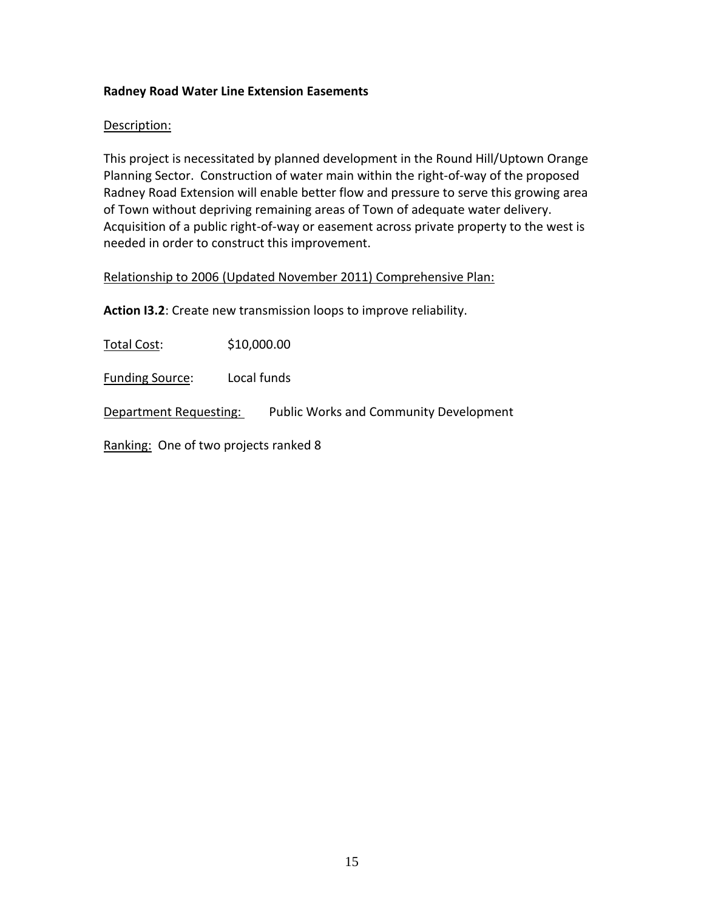## **Radney Road Water Line Extension Easements**

### Description:

This project is necessitated by planned development in the Round Hill/Uptown Orange Planning Sector. Construction of water main within the right-of-way of the proposed Radney Road Extension will enable better flow and pressure to serve this growing area of Town without depriving remaining areas of Town of adequate water delivery. Acquisition of a public right-of-way or easement across private property to the west is needed in order to construct this improvement.

#### Relationship to 2006 (Updated November 2011) Comprehensive Plan:

**Action I3.2**: Create new transmission loops to improve reliability.

Total Cost: \$10,000.00

Funding Source: Local funds

Department Requesting: Public Works and Community Development

Ranking: One of two projects ranked 8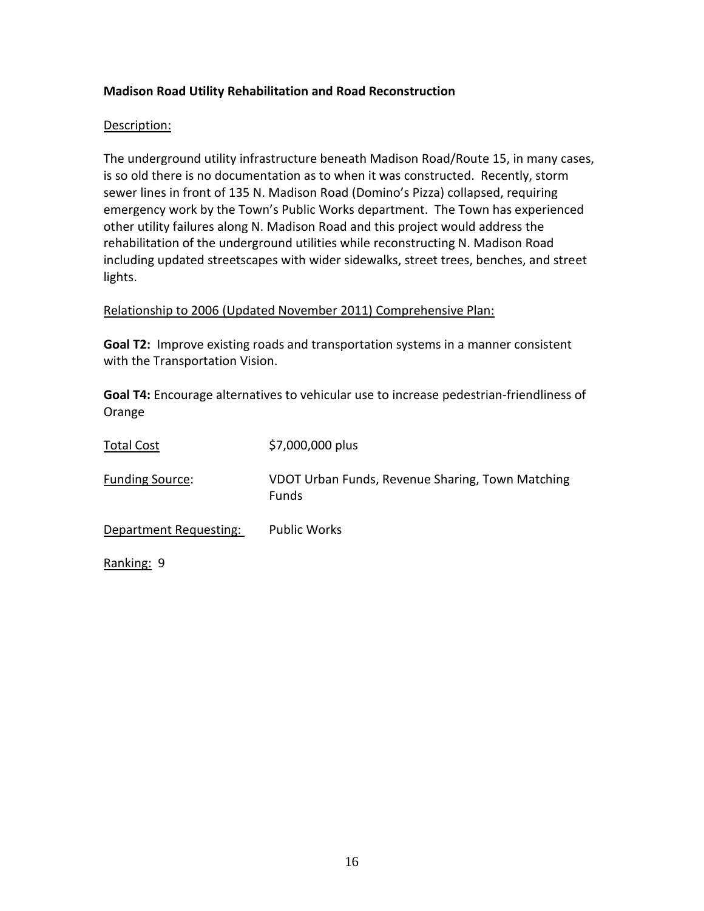# **Madison Road Utility Rehabilitation and Road Reconstruction**

### Description:

The underground utility infrastructure beneath Madison Road/Route 15, in many cases, is so old there is no documentation as to when it was constructed. Recently, storm sewer lines in front of 135 N. Madison Road (Domino's Pizza) collapsed, requiring emergency work by the Town's Public Works department. The Town has experienced other utility failures along N. Madison Road and this project would address the rehabilitation of the underground utilities while reconstructing N. Madison Road including updated streetscapes with wider sidewalks, street trees, benches, and street lights.

# Relationship to 2006 (Updated November 2011) Comprehensive Plan:

**Goal T2:** Improve existing roads and transportation systems in a manner consistent with the Transportation Vision.

**Goal T4:** Encourage alternatives to vehicular use to increase pedestrian-friendliness of Orange

| <b>Total Cost</b>      | \$7,000,000 plus                                                 |
|------------------------|------------------------------------------------------------------|
| <b>Funding Source:</b> | VDOT Urban Funds, Revenue Sharing, Town Matching<br><b>Funds</b> |
| Department Requesting: | <b>Public Works</b>                                              |